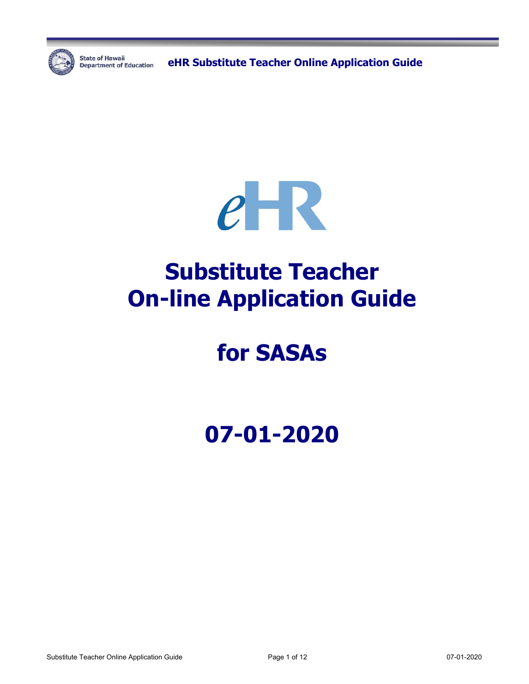

**State of Hawaii** 

State of Hawaii **Capacter Condensity Condensity Constant Online Application Guide** 



# **Substitute Teacher On-line Application Guide**

# **for SASAs**

**07-01-2020**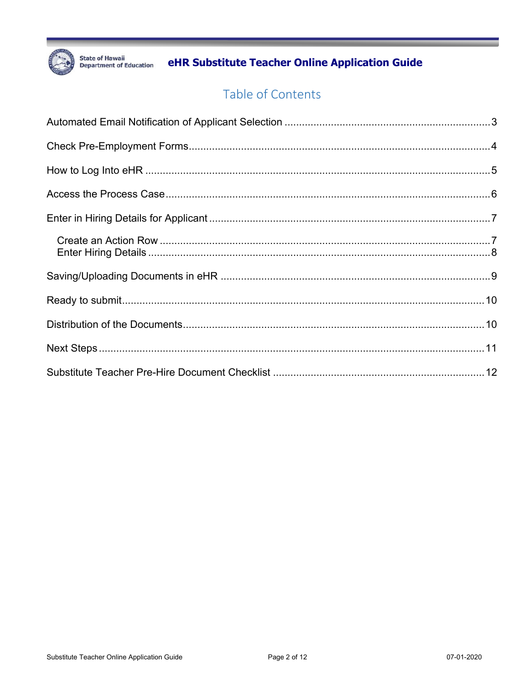

eHR Substitute Teacher Online Application Guide

## Table of Contents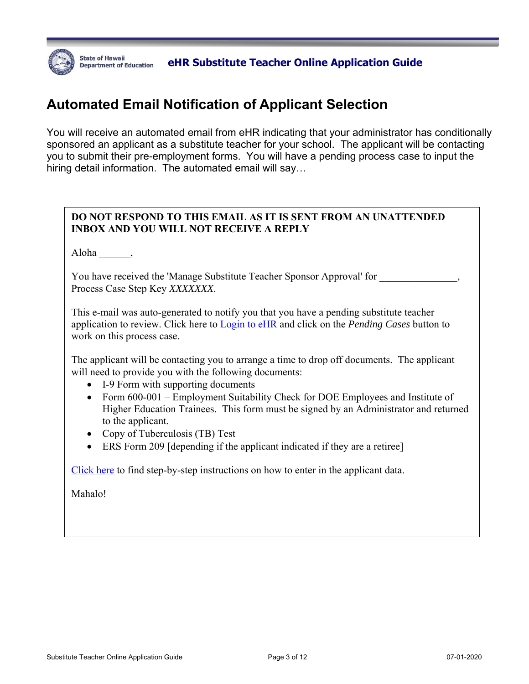

## **Automated Email Notification of Applicant Selection**

You will receive an automated email from eHR indicating that your administrator has conditionally sponsored an applicant as a substitute teacher for your school. The applicant will be contacting you to submit their pre-employment forms. You will have a pending process case to input the hiring detail information. The automated email will say…

#### **DO NOT RESPOND TO THIS EMAIL AS IT IS SENT FROM AN UNATTENDED INBOX AND YOU WILL NOT RECEIVE A REPLY**

Aloha \_\_\_\_\_\_,

You have received the 'Manage Substitute Teacher Sponsor Approval' for Process Case Step Key *XXXXXXX*.

This e-mail was auto-generated to notify you that you have a pending substitute teacher application to review. Click here to Login to eHR and click on the *Pending Cases* button to work on this process case.

The applicant will be contacting you to arrange a time to drop off documents. The applicant will need to provide you with the following documents:

- I-9 Form with supporting documents
- Form 600-001 Employment Suitability Check for DOE Employees and Institute of Higher Education Trainees. This form must be signed by an Administrator and returned to the applicant.
- Copy of Tuberculosis (TB) Test
- ERS Form 209 [depending if the applicant indicated if they are a retiree]

Click here to find step-by-step instructions on how to enter in the applicant data.

Mahalo!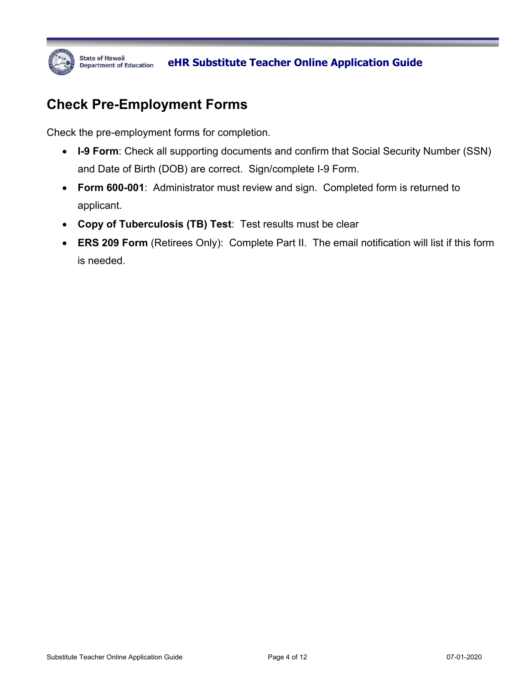

## **Check Pre-Employment Forms**

Check the pre-employment forms for completion.

- **I-9 Form**: Check all supporting documents and confirm that Social Security Number (SSN) and Date of Birth (DOB) are correct. Sign/complete I-9 Form.
- **Form 600-001**: Administrator must review and sign. Completed form is returned to applicant.
- **Copy of Tuberculosis (TB) Test**: Test results must be clear
- **ERS 209 Form** (Retirees Only): Complete Part II. The email notification will list if this form is needed.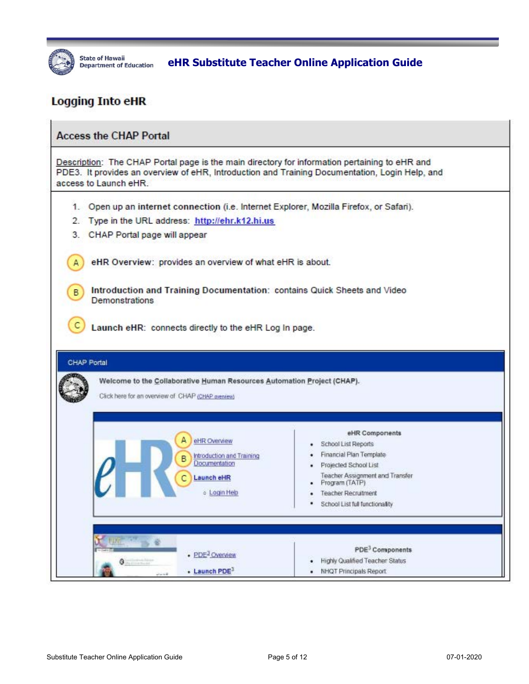

State of Hawaii **Education** eHR Substitute Teacher Online Application Guide

### **Logging Into eHR**

| Description: The CHAP Portal page is the main directory for information pertaining to eHR and<br>PDE3. It provides an overview of eHR, Introduction and Training Documentation, Login Help, and<br>access to Launch eHR. |                                                                |  |  |  |  |  |  |
|--------------------------------------------------------------------------------------------------------------------------------------------------------------------------------------------------------------------------|----------------------------------------------------------------|--|--|--|--|--|--|
| 1. Open up an internet connection (i.e. Internet Explorer, Mozilla Firefox, or Safari).                                                                                                                                  |                                                                |  |  |  |  |  |  |
| 2. Type in the URL address: http://ehr.k12.hi.us                                                                                                                                                                         |                                                                |  |  |  |  |  |  |
| CHAP Portal page will appear<br>3.                                                                                                                                                                                       |                                                                |  |  |  |  |  |  |
| eHR Overview: provides an overview of what eHR is about.                                                                                                                                                                 |                                                                |  |  |  |  |  |  |
| Introduction and Training Documentation: contains Quick Sheets and Video<br>B<br><b>Demonstrations</b>                                                                                                                   |                                                                |  |  |  |  |  |  |
|                                                                                                                                                                                                                          |                                                                |  |  |  |  |  |  |
| Welcome to the Collaborative Human Resources Automation Project (CHAP).<br>Click here for an overview of CHAP (CHAP aveniew)                                                                                             |                                                                |  |  |  |  |  |  |
|                                                                                                                                                                                                                          | eHR Components                                                 |  |  |  |  |  |  |
| eHR Overview                                                                                                                                                                                                             | School List Reports                                            |  |  |  |  |  |  |
| Introduction and Training<br>B<br>Documentation                                                                                                                                                                          | Financial Plan Template                                        |  |  |  |  |  |  |
| Launch eHR                                                                                                                                                                                                               | Projected School List<br>Teacher Assignment and Transfer       |  |  |  |  |  |  |
| o Login Help                                                                                                                                                                                                             | Program (TATP)<br><b>Teacher Recruitment</b>                   |  |  |  |  |  |  |
|                                                                                                                                                                                                                          | School List full functionality                                 |  |  |  |  |  |  |
| <b>CHAP Portal</b>                                                                                                                                                                                                       |                                                                |  |  |  |  |  |  |
| - PDE <sup>3</sup> Overview                                                                                                                                                                                              | PDE <sup>3</sup> Components<br>Highly Qualified Teacher Status |  |  |  |  |  |  |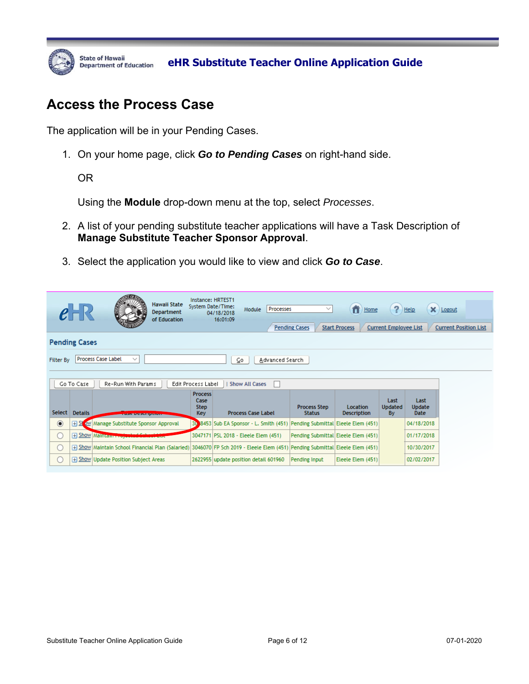

### **Access the Process Case**

The application will be in your Pending Cases.

1. On your home page, click *Go to Pending Cases* on right-hand side.

OR

Using the **Module** drop-down menu at the top, select *Processes*.

- 2. A list of your pending substitute teacher applications will have a Task Description of **Manage Substitute Teacher Sponsor Approval**.
- 3. Select the application you would like to view and click *Go to Case*.

|                  |                      | Hawaii State<br>Department<br>of Education                                                                                       | Instance: HRTEST1<br>System Date/Time:              | Processes<br>Module<br>04/18/2018<br>16:01:09                            | $\checkmark$<br><b>Pending Cases</b> | n<br>Home<br><b>Start Process</b>     | ?<br><b>Current Employee List</b>   | Help                                 | X Logout<br><b>Current Position List</b> |  |
|------------------|----------------------|----------------------------------------------------------------------------------------------------------------------------------|-----------------------------------------------------|--------------------------------------------------------------------------|--------------------------------------|---------------------------------------|-------------------------------------|--------------------------------------|------------------------------------------|--|
|                  | <b>Pending Cases</b> |                                                                                                                                  |                                                     |                                                                          |                                      |                                       |                                     |                                      |                                          |  |
| <b>Filter By</b> |                      | Process Case Label<br>$\checkmark$                                                                                               |                                                     | Advanced Search<br>⊆ο                                                    |                                      |                                       |                                     |                                      |                                          |  |
|                  |                      |                                                                                                                                  |                                                     |                                                                          |                                      |                                       |                                     |                                      |                                          |  |
|                  | Go To Case           | Re-Run With Params                                                                                                               | Edit Process Label                                  | <b>Show All Cases</b><br>H.                                              |                                      |                                       |                                     |                                      |                                          |  |
| Select           | <b>Details</b>       | <b>SCRIPTION OF STREET AND REAL PROPERTY</b>                                                                                     | <b>Process</b><br>Case<br><b>Step</b><br><b>Key</b> | <b>Process Case Label</b>                                                | <b>Process Step</b><br><b>Status</b> | <b>Location</b><br><b>Description</b> | Last<br><b>Updated</b><br><b>By</b> | Last<br><b>Update</b><br><b>Date</b> |                                          |  |
| $\odot$          | $H \simeq$           | ow Manage Substitute Sponsor Approval                                                                                            | 30                                                  | 8453 Sub EA Sponsor - L. Smith (451) Pending Submittal Eleele Elem (451) |                                      |                                       |                                     | 04/18/2018                           |                                          |  |
| O                |                      | <b>H</b> Show Maintain Proper                                                                                                    |                                                     | 3047171 PSL 2018 - Eleele Elem (451)                                     | Pending Submittal Eleele Elem (451)  |                                       |                                     | 01/17/2018                           |                                          |  |
| ∩                |                      | [451] Show Maintain School Financial Plan (Salaried) 3046070 FP Sch 2019 - Eleele Elem (451) Pending Submittal Eleele Elem (451) |                                                     |                                                                          |                                      |                                       |                                     | 10/30/2017                           |                                          |  |
| ∩                |                      | F Show Update Position Subject Areas                                                                                             |                                                     | 2622955 update position detail 601960                                    | Pending Input                        | Eleele Elem (451)                     |                                     | 02/02/2017                           |                                          |  |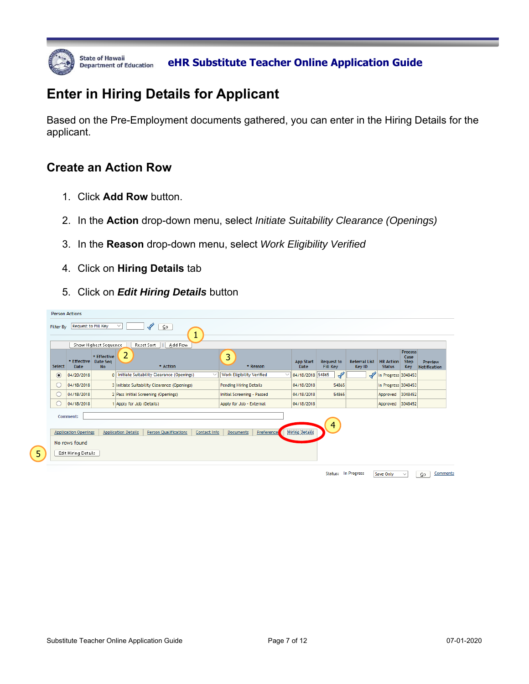

State of Hawaii *Department of Education* eHR Substitute Teacher Online Application Guide

## **Enter in Hiring Details for Applicant**

Based on the Pre-Employment documents gathered, you can enter in the Hiring Details for the applicant.

#### **Create an Action Row**

- 1. Click **Add Row** button.
- 2. In the **Action** drop-down menu, select *Initiate Suitability Clearance (Openings)*
- 3. In the **Reason** drop-down menu, select *Work Eligibility Verified*
- 4. Click on **Hiring Details** tab
- 5. Click on *Edit Hiring Details* button

|         |                                                                                 | Show Highest Sequence                |                                             | Reset Sort<br>Add Row                       |                               |                                  |                   |                          |                                      |               |                                |                                   |                                              |                                |
|---------|---------------------------------------------------------------------------------|--------------------------------------|---------------------------------------------|---------------------------------------------|-------------------------------|----------------------------------|-------------------|--------------------------|--------------------------------------|---------------|--------------------------------|-----------------------------------|----------------------------------------------|--------------------------------|
| Select  | * Effective<br><b>Date</b>                                                      | * Effective<br>Date Seq<br><b>No</b> | $\overline{2}$                              | * Action                                    |                               | 3                                | * Reason          | <b>App Start</b><br>Date | <b>Request to</b><br><b>Fill Key</b> |               | <b>Referral List</b><br>Key ID | <b>HR Action</b><br><b>Status</b> | <b>Process</b><br>Case<br><b>Step</b><br>Key | Preview<br><b>Notification</b> |
| $\odot$ | 04/20/2018                                                                      |                                      |                                             | 0 Initiate Suitability Clearance (Openings) | $\checkmark$                  | <b>Work Eligibility Verified</b> |                   | 04/18/2018 54865         |                                      | $\mathscr{L}$ | ∛                              | In Progress 3048453               |                                              |                                |
| $\cup$  | 04/18/2018                                                                      |                                      | 3 Initiate Suitability Clearance (Openings) |                                             | <b>Pending Hiring Details</b> |                                  | 04/18/2018        |                          | 54865                                |               | In Progress 3048453            |                                   |                                              |                                |
| O       | 04/18/2018                                                                      |                                      | 2 Pass Initial Screening (Openings)         |                                             | Initial Screening - Passed    |                                  | 04/18/2018        |                          | 54865                                |               | Approved 3048452               |                                   |                                              |                                |
| U       | 04/18/2018                                                                      |                                      | 1 Apply for Job (Details)                   |                                             |                               | Apply for Job - External         |                   | 04/18/2018               |                                      |               |                                | Approved 3048452                  |                                              |                                |
|         | Comment:<br><b>Application Openings</b><br>No rows found<br>Edit Hiring Details |                                      | <b>Application Details</b>                  | <b>Person Qualifications</b>                | Contact Info                  | <b>Documents</b>                 | <b>Preference</b> | <b>Hiring Details</b>    |                                      | 4             |                                |                                   |                                              |                                |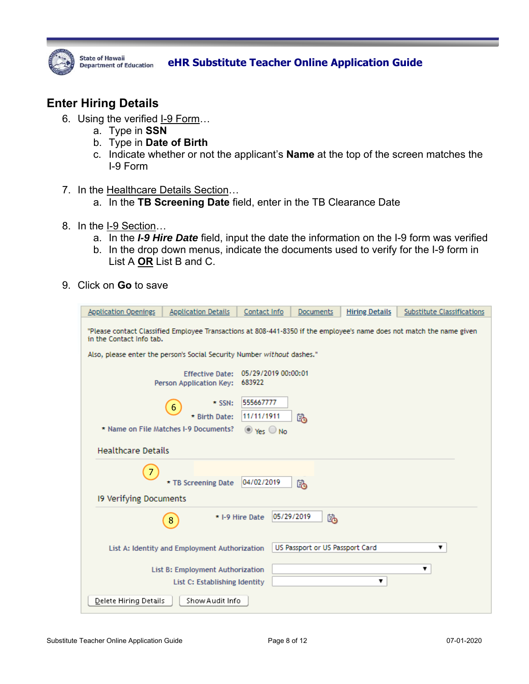

## State of Hawaii **Department of Education** eHR Substitute Teacher Online Application Guide

#### **Enter Hiring Details**

- 6. Using the verified I-9 Form...
	- a. Type in **SSN**
	- b. Type in **Date of Birth**
	- c. Indicate whether or not the applicant's **Name** at the top of the screen matches the I-9 Form
- 7. In the Healthcare Details Section…
	- a. In the **TB Screening Date** field, enter in the TB Clearance Date
- 8. In the I-9 Section…
	- a. In the *I-9 Hire Date* field, input the date the information on the I-9 form was verified
	- b. In the drop down menus, indicate the documents used to verify for the I-9 form in List A **OR** List B and C.
- 9. Click on **Go** to save

| <b>Application Openings</b>                                                                                                                       | <b>Application Details</b>                        | Contact Info                  | Documents                       | <b>Hiring Details</b> | <b>Substitute Classifications</b> |  |  |  |
|---------------------------------------------------------------------------------------------------------------------------------------------------|---------------------------------------------------|-------------------------------|---------------------------------|-----------------------|-----------------------------------|--|--|--|
| "Please contact Classified Employee Transactions at 808-441-8350 if the employee's name does not match the name given<br>in the Contact Info tab. |                                                   |                               |                                 |                       |                                   |  |  |  |
| Also, please enter the person's Social Security Number without dashes."                                                                           |                                                   |                               |                                 |                       |                                   |  |  |  |
|                                                                                                                                                   | <b>Effective Date:</b><br>Person Application Key: | 05/29/2019 00:00:01<br>683922 |                                 |                       |                                   |  |  |  |
|                                                                                                                                                   | $\star$ SSN:<br>$6\phantom{1}6$<br>* Birth Date:  | 555667777<br>11/11/1911       | 坠                               |                       |                                   |  |  |  |
|                                                                                                                                                   | * Name on File Matches I-9 Documents?             | $\odot$ Yes $\odot$ No        |                                 |                       |                                   |  |  |  |
| <b>Healthcare Details</b>                                                                                                                         |                                                   |                               |                                 |                       |                                   |  |  |  |
| $\overline{7}$                                                                                                                                    | * TB Screening Date                               | 04/02/2019                    | 坠                               |                       |                                   |  |  |  |
| 19 Verifying Documents                                                                                                                            |                                                   |                               |                                 |                       |                                   |  |  |  |
|                                                                                                                                                   | 8                                                 | * I-9 Hire Date               | 05/29/2019<br>陷                 |                       |                                   |  |  |  |
|                                                                                                                                                   | List A: Identity and Employment Authorization     |                               | US Passport or US Passport Card |                       | ▼                                 |  |  |  |
| List B: Employment Authorization<br>▼<br>▼<br>List C: Establishing Identity                                                                       |                                                   |                               |                                 |                       |                                   |  |  |  |
| Show Audit Info<br><b>Delete Hiring Details</b>                                                                                                   |                                                   |                               |                                 |                       |                                   |  |  |  |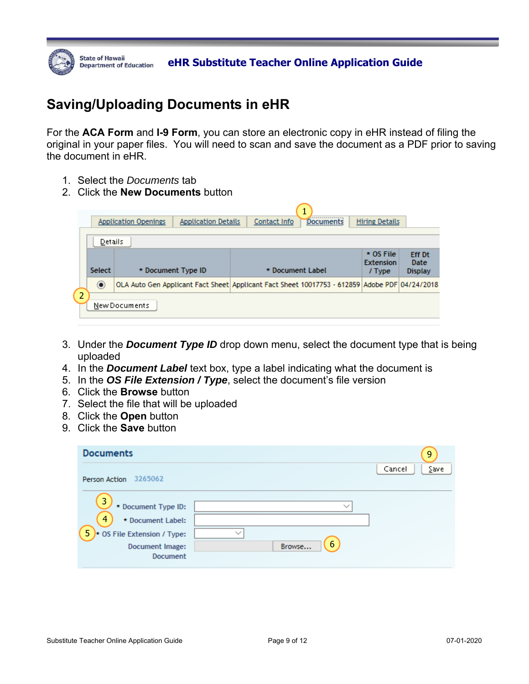

## **Saving/Uploading Documents in eHR**

For the **ACA Form** and **I-9 Form**, you can store an electronic copy in eHR instead of filing the original in your paper files. You will need to scan and save the document as a PDF prior to saving the document in eHR.

- 1. Select the *Documents* tab
- 2. Click the **New Documents** button

|                | <b>Application Openings</b> | <b>Hiring Details</b> |                                                                                               |                                           |                                         |
|----------------|-----------------------------|-----------------------|-----------------------------------------------------------------------------------------------|-------------------------------------------|-----------------------------------------|
|                | Details                     |                       |                                                                                               |                                           |                                         |
|                | <b>Select</b>               | * Document Type ID    | * Document Label                                                                              | $*$ OS File<br><b>Extension</b><br>/ Type | <b>Eff Dt</b><br>Date<br><b>Display</b> |
|                | $\odot$                     |                       | OLA Auto Gen Applicant Fact Sheet Applicant Fact Sheet 10017753 - 612859 Adobe PDF 04/24/2018 |                                           |                                         |
| $\overline{2}$ |                             | New Documents         |                                                                                               |                                           |                                         |

- 3. Under the *Document Type ID* drop down menu, select the document type that is being uploaded
- 4. In the *Document Label* text box, type a label indicating what the document is
- 5. In the *OS File Extension / Type*, select the document's file version
- 6. Click the **Browse** button
- 7. Select the file that will be uploaded
- 8. Click the **Open** button
- 9. Click the **Save** button

| <b>Documents</b>                                                                                                                        |                        | 9              |
|-----------------------------------------------------------------------------------------------------------------------------------------|------------------------|----------------|
| 3265062<br>Person Action                                                                                                                |                        | Cancel<br>∑ave |
| $\overline{3}$<br>* Document Type ID:<br>4<br>* Document Label:<br>$5$ $\star$ OS File Extension / Type:<br>Document Image:<br>Document | ちょ<br>w<br>6<br>Browse |                |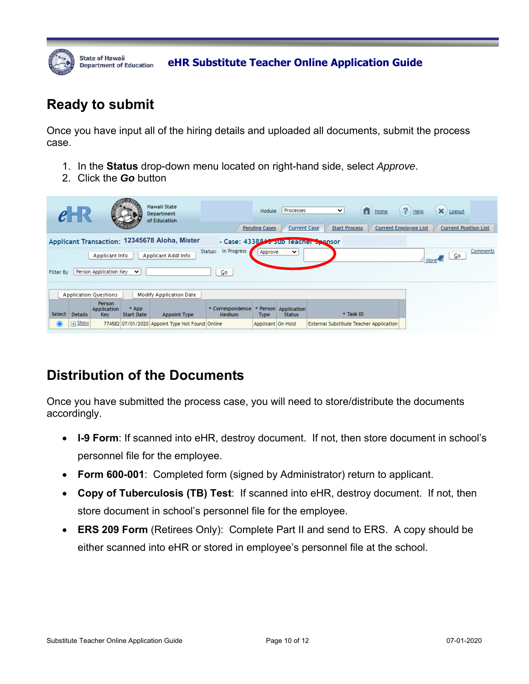

**BEATE OF HAWAII** DEALT CHAR Substitute Teacher Online Application Guide

## **Ready to submit**

Once you have input all of the hiring details and uploaded all documents, submit the process case.

- 1. In the **Status** drop-down menu located on right-hand side, select *Approve*.
- 2. Click the *Go* button

|          |                                                                                                                                        |                                     |                              | <b>Hawaii State</b><br>Department<br>of Education |                            | Module<br><b>Pending Cases</b> | Processes<br><b>Current Case</b>      | $\checkmark$<br>Home<br><b>Start Process</b>   | $\left( \frac{2}{3} \right)$ Help<br>$\mathsf{X}$ Logout<br><b>Current Employee List</b><br><b>Current Position List</b> |
|----------|----------------------------------------------------------------------------------------------------------------------------------------|-------------------------------------|------------------------------|---------------------------------------------------|----------------------------|--------------------------------|---------------------------------------|------------------------------------------------|--------------------------------------------------------------------------------------------------------------------------|
|          | Applicant Transaction: 12345678 Aloha, Mister<br>- Case: 4338843 Sub Teacher Sponsor                                                   |                                     |                              |                                                   |                            |                                |                                       |                                                |                                                                                                                          |
|          | In Progress<br>Comments<br>Status:<br>Approve<br>$\check{ }$<br>$\sqrt{100}$ More $\sqrt{20}$<br>Applicant Addl Info<br>Applicant Info |                                     |                              |                                                   |                            |                                |                                       |                                                |                                                                                                                          |
|          | Person Application Key<br>$\checkmark$<br>⊆o<br>Filter By                                                                              |                                     |                              |                                                   |                            |                                |                                       |                                                |                                                                                                                          |
|          | <b>Application Questions</b><br>Modify Application Date                                                                                |                                     |                              |                                                   |                            |                                |                                       |                                                |                                                                                                                          |
| Select   | <b>Details</b>                                                                                                                         | Person<br><b>Application</b><br>Key | $*$ App<br><b>Start Date</b> | Appoint Type                                      | * Correspondence<br>Medium | <b>Type</b>                    | * Person Application<br><b>Status</b> | * Task ID                                      |                                                                                                                          |
| $\bf{O}$ | $\Box$ Show                                                                                                                            |                                     |                              | 774582 07/01/2020 Appoint Type Not Found Online   |                            | Applicant   On Hold            |                                       | <b>External Substitute Teacher Application</b> |                                                                                                                          |

## **Distribution of the Documents**

Once you have submitted the process case, you will need to store/distribute the documents accordingly.

- **I-9 Form**: If scanned into eHR, destroy document. If not, then store document in school's personnel file for the employee.
- **Form 600-001**: Completed form (signed by Administrator) return to applicant.
- **Copy of Tuberculosis (TB) Test**: If scanned into eHR, destroy document. If not, then store document in school's personnel file for the employee.
- **ERS 209 Form** (Retirees Only): Complete Part II and send to ERS. A copy should be either scanned into eHR or stored in employee's personnel file at the school.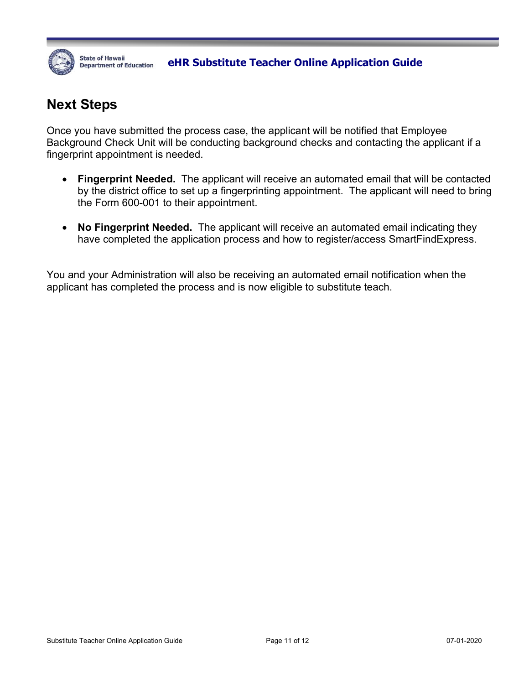

## **Next Steps**

Once you have submitted the process case, the applicant will be notified that Employee Background Check Unit will be conducting background checks and contacting the applicant if a fingerprint appointment is needed.

- **Fingerprint Needed.** The applicant will receive an automated email that will be contacted by the district office to set up a fingerprinting appointment. The applicant will need to bring the Form 600-001 to their appointment.
- **No Fingerprint Needed.** The applicant will receive an automated email indicating they have completed the application process and how to register/access SmartFindExpress.

You and your Administration will also be receiving an automated email notification when the applicant has completed the process and is now eligible to substitute teach.